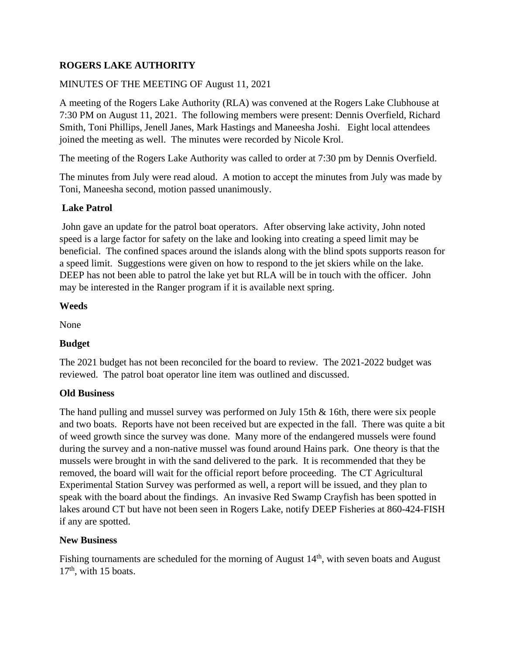# **ROGERS LAKE AUTHORITY**

# MINUTES OF THE MEETING OF August 11, 2021

A meeting of the Rogers Lake Authority (RLA) was convened at the Rogers Lake Clubhouse at 7:30 PM on August 11, 2021. The following members were present: Dennis Overfield, Richard Smith, Toni Phillips, Jenell Janes, Mark Hastings and Maneesha Joshi. Eight local attendees joined the meeting as well. The minutes were recorded by Nicole Krol.

The meeting of the Rogers Lake Authority was called to order at 7:30 pm by Dennis Overfield.

The minutes from July were read aloud. A motion to accept the minutes from July was made by Toni, Maneesha second, motion passed unanimously.

### **Lake Patrol**

John gave an update for the patrol boat operators. After observing lake activity, John noted speed is a large factor for safety on the lake and looking into creating a speed limit may be beneficial. The confined spaces around the islands along with the blind spots supports reason for a speed limit. Suggestions were given on how to respond to the jet skiers while on the lake. DEEP has not been able to patrol the lake yet but RLA will be in touch with the officer. John may be interested in the Ranger program if it is available next spring.

### **Weeds**

None

## **Budget**

The 2021 budget has not been reconciled for the board to review. The 2021-2022 budget was reviewed. The patrol boat operator line item was outlined and discussed.

#### **Old Business**

The hand pulling and mussel survey was performed on July 15th & 16th, there were six people and two boats. Reports have not been received but are expected in the fall. There was quite a bit of weed growth since the survey was done. Many more of the endangered mussels were found during the survey and a non-native mussel was found around Hains park. One theory is that the mussels were brought in with the sand delivered to the park. It is recommended that they be removed, the board will wait for the official report before proceeding. The CT Agricultural Experimental Station Survey was performed as well, a report will be issued, and they plan to speak with the board about the findings. An invasive Red Swamp Crayfish has been spotted in lakes around CT but have not been seen in Rogers Lake, notify DEEP Fisheries at 860-424-FISH if any are spotted.

#### **New Business**

Fishing tournaments are scheduled for the morning of August 14<sup>th</sup>, with seven boats and August 17<sup>th</sup>, with 15 boats.